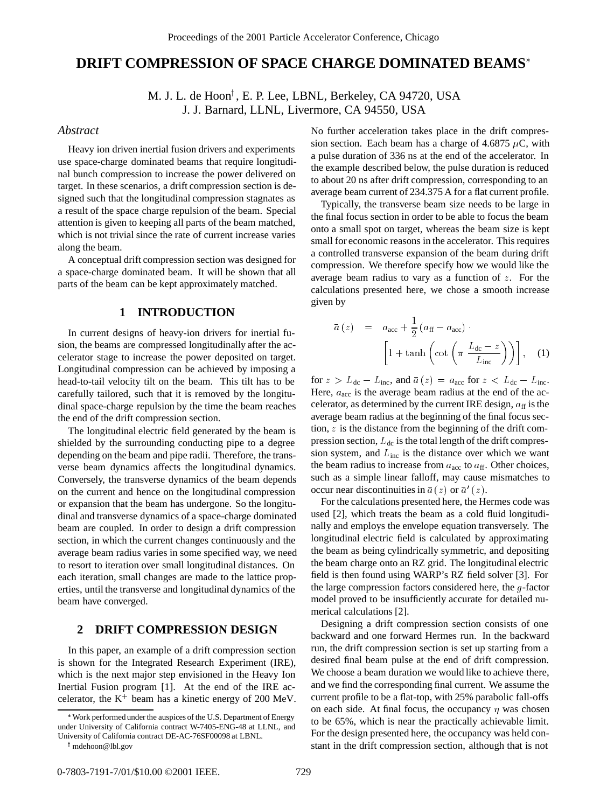# **DRIFT COMPRESSION OF SPACE CHARGE DOMINATED BEAMS**

M. J. L. de Hoon<sup>†</sup>, E. P. Lee, LBNL, Berkeley, CA 94720, USA J. J. Barnard, LLNL, Livermore, CA 94550, USA

# *Abstract*

Heavy ion driven inertial fusion drivers and experiments use space-charge dominated beams that require longitudinal bunch compression to increase the power delivered on target. In these scenarios, a drift compression section is designed such that the longitudinal compression stagnates as a result of the space charge repulsion of the beam. Special attention is given to keeping all parts of the beam matched, which is not trivial since the rate of current increase varies along the beam.

A conceptual drift compression section was designed for a space-charge dominated beam. It will be shown that all parts of the beam can be kept approximately matched.

#### **1 INTRODUCTION**

In current designs of heavy-ion drivers for inertial fusion, the beams are compressed longitudinally after the accelerator stage to increase the power deposited on target. Longitudinal compression can be achieved by imposing a head-to-tail velocity tilt on the beam. This tilt has to be carefully tailored, such that it is removed by the longitudinal space-charge repulsion by the time the beam reaches the end of the drift compression section.

The longitudinal electric field generated by the beam is shielded by the surrounding conducting pipe to a degree depending on the beam and pipe radii. Therefore, the transverse beam dynamics affects the longitudinal dynamics. Conversely, the transverse dynamics of the beam depends on the current and hence on the longitudinal compression or expansion that the beam has undergone. So the longitudinal and transverse dynamics of a space-charge dominated beam are coupled. In order to design a drift compression section, in which the current changes continuously and the average beam radius varies in some specified way, we need to resort to iteration over small longitudinal distances. On each iteration, small changes are made to the lattice properties, until the transverse and longitudinal dynamics of the beam have converged.

## **2 DRIFT COMPRESSION DESIGN**

In this paper, an example of a drift compression section is shown for the Integrated Research Experiment (IRE), which is the next major step envisioned in the Heavy Ion Inertial Fusion program [1]. At the end of the IRE accelerator, the  $K^+$  beam has a kinetic energy of 200 MeV.

<sup>†</sup> mdehoon@lbl.gov

No further acceleration takes place in the drift compression section. Each beam has a charge of 4.6875  $\mu$ C, with a pulse duration of 336 ns at the end of the accelerator. In the example described below, the pulse duration is reduced to about 20 ns after drift compression, corresponding to an average beam current of 234.375 A for a flat current profile.

Typically, the transverse beam size needs to be large in the final focus section in order to be able to focus the beam onto a small spot on target, whereas the beam size is kept small for economic reasons in the accelerator. This requires a controlled transverse expansion of the beam during drift compression. We therefore specify how we would like the average beam radius to vary as a function of  $z$ . For the calculations presented here, we chose a smooth increase given by

$$
\bar{a}(z) = a_{\text{acc}} + \frac{1}{2} (a_{\text{ff}} - a_{\text{acc}}) \cdot \left[ 1 + \tanh \left( \cot \left( \pi \frac{L_{\text{dc}} - z}{L_{\text{inc}}} \right) \right) \right], \quad (1)
$$

for  $z > L_{\text{dc}} - L_{\text{inc}}$ , and  $\bar{a}(z) = a_{\text{acc}}$  for  $z < L_{\text{dc}} - L_{\text{inc}}$ . Here,  $a_{\rm acc}$  is the average beam radius at the end of the accelerator, as determined by the current IRE design,  $a_{\rm ff}$  is the average beam radius at the beginning of the final focus section,  $z$  is the distance from the beginning of the drift compression section,  $L_{dc}$  is the total length of the drift compression system, and  $L_{inc}$  is the distance over which we want the beam radius to increase from  $a_{\text{acc}}$  to  $a_{\text{ff}}$ . Other choices, such as a simple linear falloff, may cause mismatches to occur near discontinuities in  $\bar{a}(z)$  or  $\bar{a}'(z)$ .

For the calculations presented here, the Hermes code was used [2], which treats the beam as a cold fluid longitudinally and employs the envelope equation transversely. The longitudinal electric field is calculated by approximating the beam as being cylindrically symmetric, and depositing the beam charge onto an RZ grid. The longitudinal electric field is then found using WARP's RZ field solver [3]. For the large compression factors considered here, the *-factor* model proved to be insufficiently accurate for detailed numerical calculations [2].

Designing a drift compression section consists of one backward and one forward Hermes run. In the backward run, the drift compression section is set up starting from a desired final beam pulse at the end of drift compression. We choose a beam duration we would like to achieve there, and we find the corresponding final current. We assume the current profile to be a flat-top, with 25% parabolic fall-offs on each side. At final focus, the occupancy  $\eta$  was chosen to be 65%, which is near the practically achievable limit. For the design presented here, the occupancy was held constant in the drift compression section, although that is not

Work performed under the auspices of the U.S. Department of Energy under University of California contract W-7405-ENG-48 at LLNL, and University of California contract DE-AC-76SF00098 at LBNL.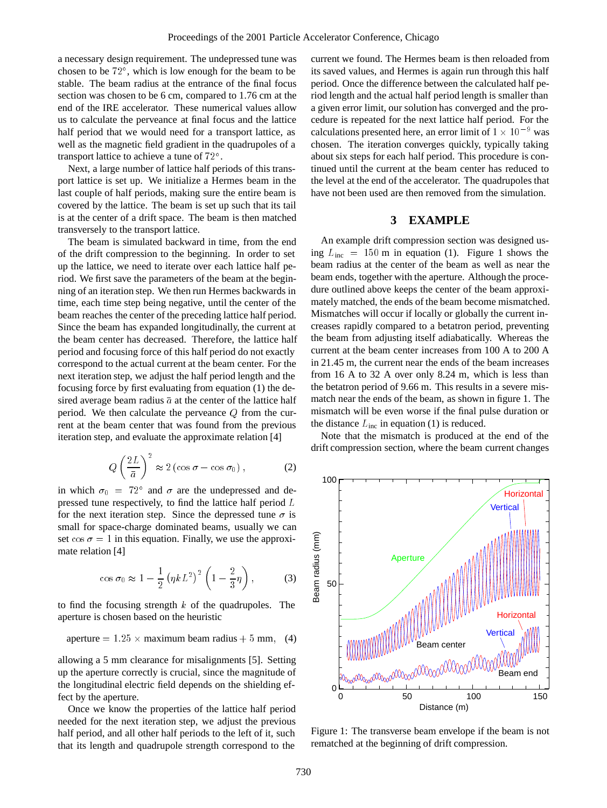a necessary design requirement. The undepressed tune was chosen to be <sup>72</sup> , which is low enough for the beam to be stable. The beam radius at the entrance of the final focus section was chosen to be 6 cm, compared to 1.76 cm at the end of the IRE accelerator. These numerical values allow us to calculate the perveance at final focus and the lattice half period that we would need for a transport lattice, as well as the magnetic field gradient in the quadrupoles of a transport lattice to achieve a tune of <sup>72</sup> .

Next, a large number of lattice half periods of this transport lattice is set up. We initialize a Hermes beam in the last couple of half periods, making sure the entire beam is covered by the lattice. The beam is set up such that its tail is at the center of a drift space. The beam is then matched transversely to the transport lattice.

The beam is simulated backward in time, from the end of the drift compression to the beginning. In order to set up the lattice, we need to iterate over each lattice half period. We first save the parameters of the beam at the beginning of an iteration step. We then run Hermes backwards in time, each time step being negative, until the center of the beam reaches the center of the preceding lattice half period. Since the beam has expanded longitudinally, the current at the beam center has decreased. Therefore, the lattice half period and focusing force of this half period do not exactly correspond to the actual current at the beam center. For the next iteration step, we adjust the half period length and the focusing force by first evaluating from equation (1) the desired average beam radius  $\bar{a}$  at the center of the lattice half period. We then calculate the perveance  $Q$  from the current at the beam center that was found from the previous iteration step, and evaluate the approximate relation [4]

$$
Q\left(\frac{2L}{\bar{a}}\right)^2 \approx 2\left(\cos\sigma - \cos\sigma_0\right),\tag{2}
$$

in which  $\sigma_0 = 72^{\circ}$  and  $\sigma$  are the undepressed and depressed tune respectively, to find the lattice half period <sup>L</sup> for the next iteration step. Since the depressed tune  $\sigma$  is small for space-charge dominated beams, usually we can set  $\cos \sigma = 1$  in this equation. Finally, we use the approximate relation [4]

$$
\cos \sigma_0 \approx 1 - \frac{1}{2} \left( \eta k L^2 \right)^2 \left( 1 - \frac{2}{3} \eta \right),\tag{3}
$$

to find the focusing strength  $k$  of the quadrupoles. The aperture is chosen based on the heuristic

aperture = 
$$
1.25 \times
$$
 maximum beam radius + 5 mm, (4)

allowing a 5 mm clearance for misalignments [5]. Setting up the aperture correctly is crucial, since the magnitude of the longitudinal electric field depends on the shielding effect by the aperture.

Once we know the properties of the lattice half period needed for the next iteration step, we adjust the previous half period, and all other half periods to the left of it, such that its length and quadrupole strength correspond to the

current we found. The Hermes beam is then reloaded from its saved values, and Hermes is again run through this half period. Once the difference between the calculated half period length and the actual half period length is smaller than a given error limit, our solution has converged and the procedure is repeated for the next lattice half period. For the calculations presented here, an error limit of  $1 \times 10^{-9}$  was chosen. The iteration converges quickly, typically taking about six steps for each half period. This procedure is continued until the current at the beam center has reduced to the level at the end of the accelerator. The quadrupoles that have not been used are then removed from the simulation.

### **3 EXAMPLE**

An example drift compression section was designed using  $L_{inc} = 150$  m in equation (1). Figure 1 shows the beam radius at the center of the beam as well as near the beam ends, together with the aperture. Although the procedure outlined above keeps the center of the beam approximately matched, the ends of the beam become mismatched. Mismatches will occur if locally or globally the current increases rapidly compared to a betatron period, preventing the beam from adjusting itself adiabatically. Whereas the current at the beam center increases from 100 A to 200 A in 21.45 m, the current near the ends of the beam increases from 16 A to 32 A over only 8.24 m, which is less than the betatron period of 9.66 m. This results in a severe mismatch near the ends of the beam, as shown in figure 1. The mismatch will be even worse if the final pulse duration or the distance  $L_{inc}$  in equation (1) is reduced.

Note that the mismatch is produced at the end of the drift compression section, where the beam current changes



Figure 1: The transverse beam envelope if the beam is not rematched at the beginning of drift compression.